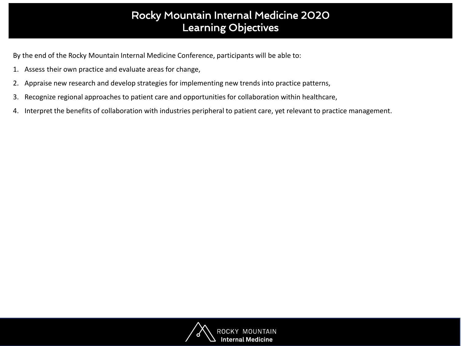## Rocky Mountain Internal Medicine 2020 Learning Objectives

By the end of the Rocky Mountain Internal Medicine Conference, participants will be able to:

- 1. Assess their own practice and evaluate areas for change,
- 2. Appraise new research and develop strategies for implementing new trends into practice patterns,
- 3. Recognize regional approaches to patient care and opportunities for collaboration within healthcare,
- 4. Interpret the benefits of collaboration with industries peripheral to patient care, yet relevant to practice management.

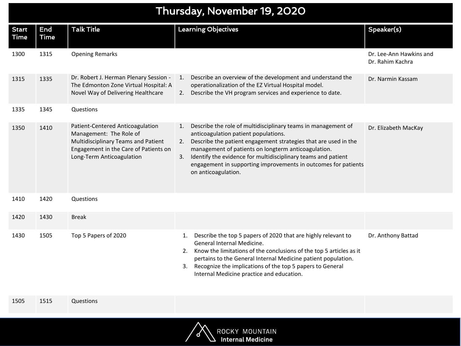## Thursday, November 19, 2020

| <b>Start</b><br><b>Time</b> | End<br><b>Time</b> | <b>Talk Title</b>                                                                                                                                                        | <b>Learning Objectives</b>                                                                                                                                                                                                                                                                                                                                                                                  | Speaker(s)                                  |
|-----------------------------|--------------------|--------------------------------------------------------------------------------------------------------------------------------------------------------------------------|-------------------------------------------------------------------------------------------------------------------------------------------------------------------------------------------------------------------------------------------------------------------------------------------------------------------------------------------------------------------------------------------------------------|---------------------------------------------|
| 1300                        | 1315               | <b>Opening Remarks</b>                                                                                                                                                   |                                                                                                                                                                                                                                                                                                                                                                                                             | Dr. Lee-Ann Hawkins and<br>Dr. Rahim Kachra |
| 1315                        | 1335               | Dr. Robert J. Herman Plenary Session -<br>The Edmonton Zone Virtual Hospital: A<br>Novel Way of Delivering Healthcare                                                    | Describe an overview of the development and understand the<br>1.<br>operationalization of the EZ Virtual Hospital model.<br>Describe the VH program services and experience to date.<br>2.                                                                                                                                                                                                                  | Dr. Narmin Kassam                           |
| 1335                        | 1345               | Questions                                                                                                                                                                |                                                                                                                                                                                                                                                                                                                                                                                                             |                                             |
| 1350                        | 1410               | Patient-Centered Anticoagulation<br>Management: The Role of<br>Multidisciplinary Teams and Patient<br>Engagement in the Care of Patients on<br>Long-Term Anticoagulation | Describe the role of multidisciplinary teams in management of<br>1.<br>anticoagulation patient populations.<br>Describe the patient engagement strategies that are used in the<br>2.<br>management of patients on longterm anticoagulation.<br>Identify the evidence for multidisciplinary teams and patient<br>3.<br>engagement in supporting improvements in outcomes for patients<br>on anticoagulation. | Dr. Elizabeth MacKay                        |
| 1410                        | 1420               | Questions                                                                                                                                                                |                                                                                                                                                                                                                                                                                                                                                                                                             |                                             |
| 1420                        | 1430               | <b>Break</b>                                                                                                                                                             |                                                                                                                                                                                                                                                                                                                                                                                                             |                                             |
| 1430                        | 1505               | Top 5 Papers of 2020                                                                                                                                                     | Describe the top 5 papers of 2020 that are highly relevant to<br>1.<br>General Internal Medicine.<br>2. Know the limitations of the conclusions of the top 5 articles as it<br>pertains to the General Internal Medicine patient population.<br>3. Recognize the implications of the top 5 papers to General<br>Internal Medicine practice and education.                                                   | Dr. Anthony Battad                          |

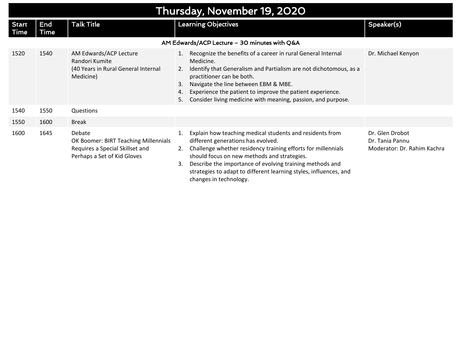| Thursday, November 19, 2020                  |             |                                                                                                                  |                                                                                                                                                                                                                                                                                                                                                                                            |                                                                   |  |
|----------------------------------------------|-------------|------------------------------------------------------------------------------------------------------------------|--------------------------------------------------------------------------------------------------------------------------------------------------------------------------------------------------------------------------------------------------------------------------------------------------------------------------------------------------------------------------------------------|-------------------------------------------------------------------|--|
| <b>Start</b><br>Time                         | End<br>Time | <b>Talk Title</b>                                                                                                | <b>Learning Objectives</b>                                                                                                                                                                                                                                                                                                                                                                 | Speaker(s)                                                        |  |
| AM Edwards/ACP Lecture - 30 minutes with Q&A |             |                                                                                                                  |                                                                                                                                                                                                                                                                                                                                                                                            |                                                                   |  |
| 1520                                         | 1540        | AM Edwards/ACP Lecture<br>Randori Kumite<br>(40 Years in Rural General Internal<br>Medicine)                     | 1. Recognize the benefits of a career in rural General Internal<br>Medicine.<br>Identify that Generalism and Partialism are not dichotomous, as a<br>2.<br>practitioner can be both.<br>Navigate the line between EBM & MBE.<br>3.<br>Experience the patient to improve the patient experience.<br>4.<br>Consider living medicine with meaning, passion, and purpose.<br>5.                | Dr. Michael Kenyon                                                |  |
| 1540                                         | 1550        | Questions                                                                                                        |                                                                                                                                                                                                                                                                                                                                                                                            |                                                                   |  |
| 1550                                         | 1600        | Break                                                                                                            |                                                                                                                                                                                                                                                                                                                                                                                            |                                                                   |  |
| 1600                                         | 1645        | Debate<br>OK Boomer: BIRT Teaching Millennials<br>Requires a Special Skillset and<br>Perhaps a Set of Kid Gloves | Explain how teaching medical students and residents from<br>1.<br>different generations has evolved.<br>Challenge whether residency training efforts for millennials<br>2.<br>should focus on new methods and strategies.<br>Describe the importance of evolving training methods and<br>3.<br>strategies to adapt to different learning styles, influences, and<br>changes in technology. | Dr. Glen Drobot<br>Dr. Tania Pannu<br>Moderator: Dr. Rahim Kachra |  |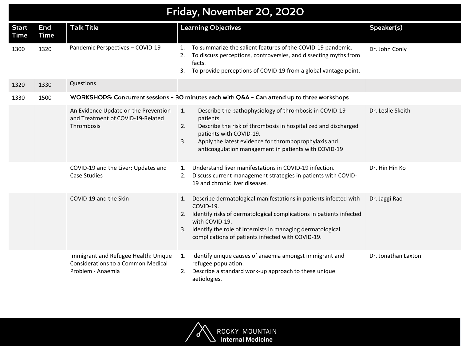## Friday, November 20, 2020

| <b>Start</b><br>Time | End<br><b>Time</b> | <b>Talk Title</b>                                                                                      | <b>Learning Objectives</b>                                                                                                                                                                                                                                                                                  | Speaker(s)          |
|----------------------|--------------------|--------------------------------------------------------------------------------------------------------|-------------------------------------------------------------------------------------------------------------------------------------------------------------------------------------------------------------------------------------------------------------------------------------------------------------|---------------------|
| 1300                 | 1320               | Pandemic Perspectives - COVID-19                                                                       | To summarize the salient features of the COVID-19 pandemic.<br>$\mathbf{1}$ .<br>To discuss perceptions, controversies, and dissecting myths from<br>2.<br>facts.<br>To provide perceptions of COVID-19 from a global vantage point.<br>3.                                                                  | Dr. John Conly      |
| 1320                 | 1330               | Questions                                                                                              |                                                                                                                                                                                                                                                                                                             |                     |
| 1330                 | 1500               |                                                                                                        | WORKSHOPS: Concurrent sessions - 30 minutes each with Q&A - Can attend up to three workshops                                                                                                                                                                                                                |                     |
|                      |                    | An Evidence Update on the Prevention<br>and Treatment of COVID-19-Related<br>Thrombosis                | Describe the pathophysiology of thrombosis in COVID-19<br>1.<br>patients.<br>Describe the risk of thrombosis in hospitalized and discharged<br>2.<br>patients with COVID-19.<br>3.<br>Apply the latest evidence for thromboprophylaxis and<br>anticoagulation management in patients with COVID-19          | Dr. Leslie Skeith   |
|                      |                    | COVID-19 and the Liver: Updates and<br><b>Case Studies</b>                                             | Understand liver manifestations in COVID-19 infection.<br>$\mathbf{1}$ .<br>Discuss current management strategies in patients with COVID-<br>2.<br>19 and chronic liver diseases.                                                                                                                           | Dr. Hin Hin Ko      |
|                      |                    | COVID-19 and the Skin                                                                                  | Describe dermatological manifestations in patients infected with<br>1.<br>COVID-19.<br>Identify risks of dermatological complications in patients infected<br>2.<br>with COVID-19.<br>Identify the role of Internists in managing dermatological<br>3.<br>complications of patients infected with COVID-19. | Dr. Jaggi Rao       |
|                      |                    | Immigrant and Refugee Health: Unique<br><b>Considerations to a Common Medical</b><br>Problem - Anaemia | Identify unique causes of anaemia amongst immigrant and<br>1.<br>refugee population.<br>Describe a standard work-up approach to these unique<br>2.<br>aetiologies.                                                                                                                                          | Dr. Jonathan Laxton |